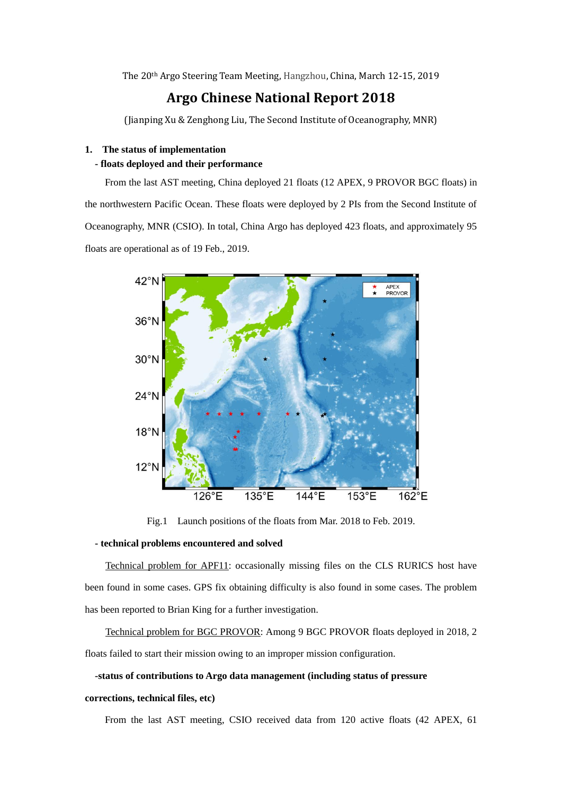The 20th Argo Steering Team Meeting, Hangzhou, China, March 12-15, 2019

# **Argo Chinese National Report 2018**

(Jianping Xu & Zenghong Liu, The Second Institute of Oceanography, MNR)

# **1. The status of implementation - floats deployed and their performance**

 From the last AST meeting, China deployed 21 floats (12 APEX, 9 PROVOR BGC floats) in the northwestern Pacific Ocean. These floats were deployed by 2 PIs from the Second Institute of Oceanography, MNR (CSIO). In total, China Argo has deployed 423 floats, and approximately 95 floats are operational as of 19 Feb., 2019.



Fig.1 Launch positions of the floats from Mar. 2018 to Feb. 2019.

### **- technical problems encountered and solved**

Technical problem for APF11: occasionally missing files on the CLS RURICS host have been found in some cases. GPS fix obtaining difficulty is also found in some cases. The problem has been reported to Brian King for a further investigation.

Technical problem for BGC PROVOR: Among 9 BGC PROVOR floats deployed in 2018, 2 floats failed to start their mission owing to an improper mission configuration.

# **-status of contributions to Argo data management (including status of pressure**

## **corrections, technical files, etc)**

From the last AST meeting, CSIO received data from 120 active floats (42 APEX, 61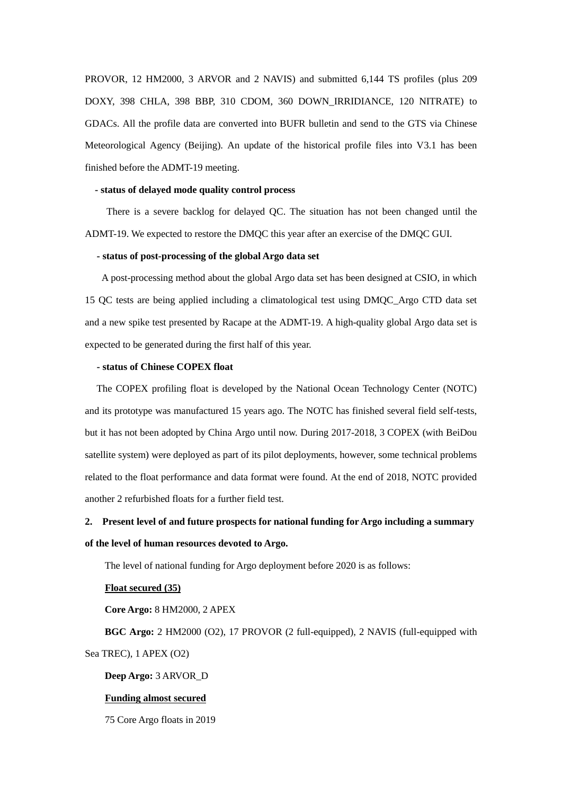PROVOR, 12 HM2000, 3 ARVOR and 2 NAVIS) and submitted 6,144 TS profiles (plus 209 DOXY, 398 CHLA, 398 BBP, 310 CDOM, 360 DOWN\_IRRIDIANCE, 120 NITRATE) to GDACs. All the profile data are converted into BUFR bulletin and send to the GTS via Chinese Meteorological Agency (Beijing). An update of the historical profile files into V3.1 has been finished before the ADMT-19 meeting.

### **- status of delayed mode quality control process**

 There is a severe backlog for delayed QC. The situation has not been changed until the ADMT-19. We expected to restore the DMQC this year after an exercise of the DMQC GUI.

## **- status of post-processing of the global Argo data set**

A post-processing method about the global Argo data set has been designed at CSIO, in which 15 QC tests are being applied including a climatological test using DMQC\_Argo CTD data set and a new spike test presented by Racape at the ADMT-19. A high-quality global Argo data set is expected to be generated during the first half of this year.

# **- status of Chinese COPEX float**

The COPEX profiling float is developed by the National Ocean Technology Center (NOTC) and its prototype was manufactured 15 years ago. The NOTC has finished several field self-tests, but it has not been adopted by China Argo until now. During 2017-2018, 3 COPEX (with BeiDou satellite system) were deployed as part of its pilot deployments, however, some technical problems related to the float performance and data format were found. At the end of 2018, NOTC provided another 2 refurbished floats for a further field test.

# **2. Present level of and future prospects for national funding for Argo including a summary of the level of human resources devoted to Argo.**

The level of national funding for Argo deployment before 2020 is as follows:

#### **Float secured (35)**

#### **Core Argo:** 8 HM2000, 2 APEX

 **BGC Argo:** 2 HM2000 (O2), 17 PROVOR (2 full-equipped), 2 NAVIS (full-equipped with Sea TREC), 1 APEX (O2)

**Deep Argo:** 3 ARVOR\_D

## **Funding almost secured**

75 Core Argo floats in 2019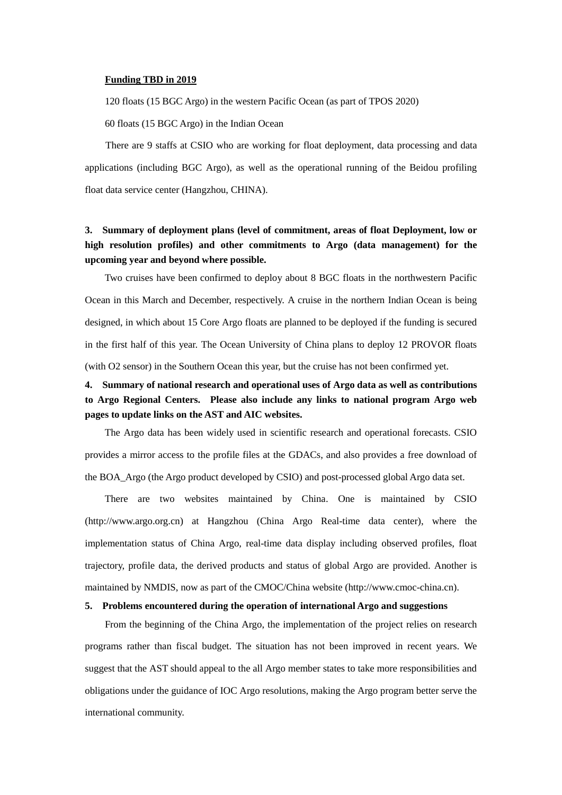### **Funding TBD in 2019**

120 floats (15 BGC Argo) in the western Pacific Ocean (as part of TPOS 2020)

60 floats (15 BGC Argo) in the Indian Ocean

There are 9 staffs at CSIO who are working for float deployment, data processing and data applications (including BGC Argo), as well as the operational running of the Beidou profiling float data service center (Hangzhou, CHINA).

# **3. Summary of deployment plans (level of commitment, areas of float Deployment, low or high resolution profiles) and other commitments to Argo (data management) for the upcoming year and beyond where possible.**

 Two cruises have been confirmed to deploy about 8 BGC floats in the northwestern Pacific Ocean in this March and December, respectively. A cruise in the northern Indian Ocean is being designed, in which about 15 Core Argo floats are planned to be deployed if the funding is secured in the first half of this year. The Ocean University of China plans to deploy 12 PROVOR floats (with O2 sensor) in the Southern Ocean this year, but the cruise has not been confirmed yet.

# **4. Summary of national research and operational uses of Argo data as well as contributions to Argo Regional Centers. Please also include any links to national program Argo web pages to update links on the AST and AIC websites.**

 The Argo data has been widely used in scientific research and operational forecasts. CSIO provides a mirror access to the profile files at the GDACs, and also provides a free download of the BOA\_Argo (the Argo product developed by CSIO) and post-processed global Argo data set.

 There are two websites maintained by China. One is maintained by CSIO (http://www.argo.org.cn) at Hangzhou (China Argo Real-time data center), where the implementation status of China Argo, real-time data display including observed profiles, float trajectory, profile data, the derived products and status of global Argo are provided. Another is maintained by NMDIS, now as part of the CMOC/China website (http://www.cmoc-china.cn).

## **5. Problems encountered during the operation of international Argo and suggestions**

 From the beginning of the China Argo, the implementation of the project relies on research programs rather than fiscal budget. The situation has not been improved in recent years. We suggest that the AST should appeal to the all Argo member states to take more responsibilities and obligations under the guidance of IOC Argo resolutions, making the Argo program better serve the international community.